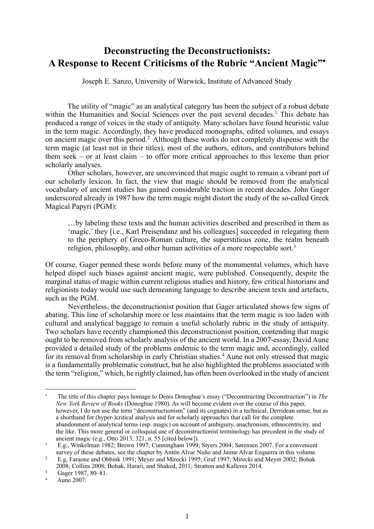# **Deconstructing the Deconstructionists: A Response to Recent Criticisms of the Rubric "Ancient Magic"**\*

Joseph E. Sanzo, University of Warwick, Institute of Advanced Study

The utility of "magic" as an analytical category has been the subject of a robust debate within the Humanities and Social Sciences over the past several decades.<sup>1</sup> This debate has produced a range of voices in the study of antiquity. Many scholars have found heuristic value in the term magic. Accordingly, they have produced monographs, edited volumes, and essays on ancient magic over this period.<sup>2</sup> Although these works do not completely dispense with the term magic (at least not in their titles), most of the authors, editors, and contributors behind them seek – or at least claim – to offer more critical approaches to this lexeme than prior scholarly analyses.

Other scholars, however, are unconvinced that magic ought to remain a vibrant part of our scholarly lexicon. In fact, the view that magic should be removed from the analytical vocabulary of ancient studies has gained considerable traction in recent decades. John Gager underscored already in 1987 how the term magic might distort the study of the so-called Greek Magical Papyri (PGM):

…by labeling these texts and the human activities described and prescribed in them as 'magic,' they [i.e., Karl Preisendanz and his colleagues] succeeded in relegating them to the periphery of Greco-Roman culture, the superstitious zone, the realm beneath religion, philosophy, and other human activities of a more respectable sort.<sup>3</sup>

Of course, Gager penned these words before many of the monumental volumes, which have helped dispel such biases against ancient magic, were published. Consequently, despite the marginal status of magic within current religious studies and history, few critical historians and religionists today would use such demeaning language to describe ancient texts and artefacts, such as the PGM.

Nevertheless, the deconstructionist position that Gager articulated shows few signs of abating. This line of scholarship more or less maintains that the term magic is too laden with cultural and analytical baggage to remain a useful scholarly rubric in the study of antiquity. Two scholars have recently championed this deconstructionist position, contending that magic ought to be removed from scholarly analysis of the ancient world. In a 2007-essay, David Aune provided a detailed study of the problems endemic to the term magic and, accordingly, called for its removal from scholarship in early Christian studies.<sup>4</sup> Aune not only stressed that magic is a fundamentally problematic construct, but he also highlighted the problems associated with the term "religion," which, he rightly claimed, has often been overlooked in the study of ancient

 $\overline{a}$ 

<sup>\*</sup> The title of this chapter pays homage to Denis Donoghue's essay ("Deconstructing Deconstruction") in *The New York Review of Books* (Donoghue 1980). As will become evident over the course of this paper, however, I do not use the term "deconstructionism" (and its cognates) in a technical, Derridean sense, but as a shorthand for (hyper-)critical analysis and for scholarly approaches that call for the complete abandonment of analytical terms (esp. magic) on account of ambiguity, anachronism, ethnocentricity, and the like. This more general or colloquial use of deconstructionist terminology has precedent in the study of ancient magic (e.g., Otto 2013, 321, n. 55 [cited below]).

<sup>&</sup>lt;sup>1</sup> E.g., Winkelman 1982; Brown 1997; Cunningham 1999; Styers 2004; Sørensen 2007. For a convenient survey of these debates, see the chapter by Antón Alvar Nuño and Jaime Alvar Ezquerra in this volume.

<sup>&</sup>lt;sup>2</sup> E.g, Faraone and Obbink 1991; Meyer and Mirecki 1995; Graf 1997; Mirecki and Meyer 2002; Bohak 2008; Collins 2008; Bohak, Harari, and Shaked, 2011; Stratton and Kalleres 2014.<br>
Gager 1987, 80–81.<br>
Aune 2007

Aune 2007.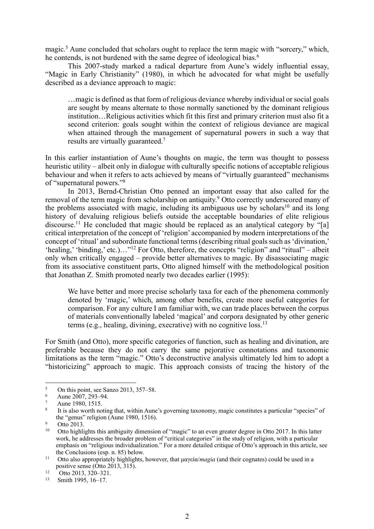magic.5 Aune concluded that scholars ought to replace the term magic with "sorcery," which, he contends, is not burdened with the same degree of ideological bias.<sup>6</sup>

This 2007-study marked a radical departure from Aune's widely influential essay, "Magic in Early Christianity" (1980), in which he advocated for what might be usefully described as a deviance approach to magic:

…magic is defined as that form of religious deviance whereby individual or social goals are sought by means alternate to those normally sanctioned by the dominant religious institution…Religious activities which fit this first and primary criterion must also fit a second criterion: goals sought within the context of religious deviance are magical when attained through the management of supernatural powers in such a way that results are virtually guaranteed.7

In this earlier instantiation of Aune's thoughts on magic, the term was thought to possess heuristic utility – albeit only in dialogue with culturally specific notions of acceptable religious behaviour and when it refers to acts achieved by means of "virtually guaranteed" mechanisms of "supernatural powers."8

In 2013, Bernd-Christian Otto penned an important essay that also called for the removal of the term magic from scholarship on antiquity.<sup>9</sup> Otto correctly underscored many of the problems associated with magic, including its ambiguous use by scholars<sup>10</sup> and its long history of devaluing religious beliefs outside the acceptable boundaries of elite religious discourse.<sup>11</sup> He concluded that magic should be replaced as an analytical category by "[a] critical interpretation of the concept of 'religion' accompanied by modern interpretations of the concept of 'ritual' and subordinate functional terms (describing ritual goals such as 'divination,' 'healing,' 'binding,' etc.)…"12 For Otto, therefore, the concepts "religion" and "ritual" – albeit only when critically engaged – provide better alternatives to magic. By disassociating magic from its associative constituent parts, Otto aligned himself with the methodological position that Jonathan Z. Smith promoted nearly two decades earlier (1995):

We have better and more precise scholarly taxa for each of the phenomena commonly denoted by 'magic,' which, among other benefits, create more useful categories for comparison. For any culture I am familiar with, we can trade places between the corpus of materials conventionally labeled 'magical' and corpora designated by other generic terms (e.g., healing, divining, execrative) with no cognitive loss.<sup>13</sup>

For Smith (and Otto), more specific categories of function, such as healing and divination, are preferable because they do not carry the same pejorative connotations and taxonomic limitations as the term "magic." Otto's deconstructive analysis ultimately led him to adopt a "historicizing" approach to magic. This approach consists of tracing the history of the

 $\frac{5}{6}$  On this point, see Sanzo 2013, 357–58.

<sup>6</sup> Aune 2007, 293-94.

 $\frac{7}{8}$  Aune 1980, 1515.

It is also worth noting that, within Aune's governing taxonomy, magic constitutes a particular "species" of the "genus" religion (Aune 1980, 1516).<br>
Otto 2013.<br>
<sup>10</sup> Otto bighlights this ambiguity dimension

<sup>10</sup> Otto highlights this ambiguity dimension of "magic" to an even greater degree in Otto 2017. In this latter work, he addresses the broader problem of "critical categories" in the study of religion, with a particular emphasis on "religious individualization." For a more detailed critique of Otto's approach in this article, see the Conclusions (esp. n. 85) below.<br><sup>11</sup> Otto also appropriately highlights, however, that μαγεία/*magia* (and their cognates) could be used in a

positive sense (Otto 2013, 315).<br>
<sup>12</sup> Otto 2013, 320–321.<br>
<sup>13</sup> Smith 1995 16–17

Smith 1995, 16-17.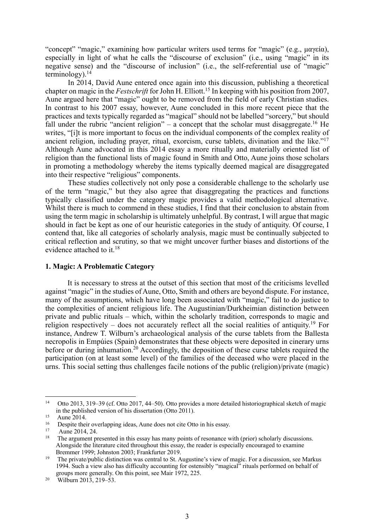"concept" "magic," examining how particular writers used terms for "magic" (e.g., μαγεία), especially in light of what he calls the "discourse of exclusion" (i.e., using "magic" in its negative sense) and the "discourse of inclusion" (i.e., the self-referential use of "magic" terminology). $14$ 

In 2014, David Aune entered once again into this discussion, publishing a theoretical chapter on magic in the *Festschrift* for John H. Elliott.<sup>15</sup> In keeping with his position from 2007, Aune argued here that "magic" ought to be removed from the field of early Christian studies. In contrast to his 2007 essay, however, Aune concluded in this more recent piece that the practices and texts typically regarded as "magical" should not be labelled "sorcery," but should fall under the rubric "ancient religion" – a concept that the scholar must disaggregate.<sup>16</sup> He writes, "[i]t is more important to focus on the individual components of the complex reality of ancient religion, including prayer, ritual, exorcism, curse tablets, divination and the like."17 Although Aune advocated in this 2014 essay a more ritually and materially oriented list of religion than the functional lists of magic found in Smith and Otto, Aune joins those scholars in promoting a methodology whereby the items typically deemed magical are disaggregated into their respective "religious" components.

These studies collectively not only pose a considerable challenge to the scholarly use of the term "magic," but they also agree that disaggregating the practices and functions typically classified under the category magic provides a valid methodological alternative. Whilst there is much to commend in these studies, I find that their conclusion to abstain from using the term magic in scholarship is ultimately unhelpful. By contrast, I will argue that magic should in fact be kept as one of our heuristic categories in the study of antiquity. Of course, I contend that, like all categories of scholarly analysis, magic must be continually subjected to critical reflection and scrutiny, so that we might uncover further biases and distortions of the evidence attached to it.18

## **1. Magic: A Problematic Category**

It is necessary to stress at the outset of this section that most of the criticisms levelled against "magic" in the studies of Aune, Otto, Smith and others are beyond dispute. For instance, many of the assumptions, which have long been associated with "magic," fail to do justice to the complexities of ancient religious life. The Augustinian/Durkheimian distinction between private and public rituals – which, within the scholarly tradition, corresponds to magic and religion respectively – does not accurately reflect all the social realities of antiquity.<sup>19</sup> For instance, Andrew T. Wilburn's archaeological analysis of the curse tablets from the Ballesta necropolis in Empúies (Spain) demonstrates that these objects were deposited in cinerary urns before or during inhumation.<sup>20</sup> Accordingly, the deposition of these curse tablets required the participation (on at least some level) of the families of the deceased who were placed in the urns. This social setting thus challenges facile notions of the public (religion)/private (magic)

 <sup>14</sup> Otto 2013, 319–39 (cf. Otto 2017, 44–50). Otto provides a more detailed historiographical sketch of magic in the published version of his dissertation (Otto 2011).<br>
<sup>15</sup> Aune 2014.<br>
<sup>16</sup> Despite their overlapping ideas, Aune does not cite Otto in his essay.<br>
<sup>17</sup> Aune 2014, 24.<br>
<sup>18</sup> The argument presented in this essay has ma

<sup>18</sup> The argument presented in this essay has many points of resonance with (prior) scholarly discussions. Alongside the literature cited throughout this essay, the reader is especially encouraged to examine

Bremmer 1999; Johnston 2003; Frankfurter 2019.<br><sup>19</sup> The private/public distinction was central to St. Augustine's view of magic. For a discussion, see Markus 1994. Such a view also has difficulty accounting for ostensibly "magical" rituals performed on behalf of groups more generally. On this point, see Mair 1972, 225.

<sup>&</sup>lt;sup>20</sup> Wilburn 2013, 219–53.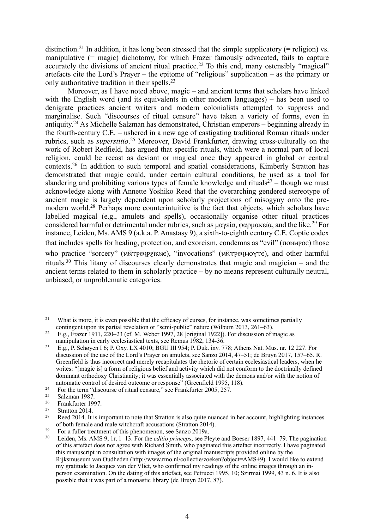distinction.<sup>21</sup> In addition, it has long been stressed that the simple supplicatory (= religion) vs. manipulative (= magic) dichotomy, for which Frazer famously advocated, fails to capture accurately the divisions of ancient ritual practice.<sup>22</sup> To this end, many ostensibly "magical" artefacts cite the Lord's Prayer – the epitome of "religious" supplication – as the primary or only authoritative tradition in their spells.23

Moreover, as I have noted above, magic – and ancient terms that scholars have linked with the English word (and its equivalents in other modern languages) – has been used to denigrate practices ancient writers and modern colonialists attempted to suppress and marginalise. Such "discourses of ritual censure" have taken a variety of forms, even in antiquity.24 As Michelle Salzman has demonstrated, Christian emperors – beginning already in the fourth-century C.E. – ushered in a new age of castigating traditional Roman rituals under rubrics, such as *superstitio*. <sup>25</sup> Moreover, David Frankfurter, drawing cross-culturally on the work of Robert Redfield, has argued that specific rituals, which were a normal part of local religion, could be recast as deviant or magical once they appeared in global or central contexts.26 In addition to such temporal and spatial considerations, Kimberly Stratton has demonstrated that magic could, under certain cultural conditions, be used as a tool for slandering and prohibiting various types of female knowledge and rituals<sup>27</sup> – though we must acknowledge along with Annette Yoshiko Reed that the overarching gendered stereotype of ancient magic is largely dependent upon scholarly projections of misogyny onto the premodern world.28 Perhaps more counterintuitive is the fact that objects, which scholars have labelled magical (e.g., amulets and spells), occasionally organise other ritual practices considered harmful or detrimental under rubrics, such as μαγεία, φαρμακεία, and the like.29 For instance, Leiden, Ms. AMS 9 (a.k.a. P. Anastasy 9), a sixth-to-eighth century C.E. Coptic codex that includes spells for healing, protection, and exorcism, condemns as "evil" (πονιμρος) those who practice "sorcery" (μπτρεφρεϊκης), "invocations" (μπτρεφμογτε), and other harmful rituals. <sup>30</sup> This litany of discourses clearly demonstrates that magic and magician – and the ancient terms related to them in scholarly practice – by no means represent culturally neutral, unbiased, or unproblematic categories.

<sup>&</sup>lt;sup>21</sup> What is more, it is even possible that the efficacy of curses, for instance, was sometimes partially contingent upon its partial revelation or "semi-public" nature (Wilburn 2013, 261–63).

<sup>&</sup>lt;sup>22</sup> E.g., Frazer 1911, 220–23 (cf. M. Weber 1997, 28 [original 1922]). For discussion of magic as manipulation in early ecclesiastical texts, see Remus 1982, 134-36.

<sup>&</sup>lt;sup>23</sup> E.g., P. Schøyen I 6; P. Oxy. LX 4010; BGU III 954; P. Duk. inv. 778; Athens Nat. Mus. nr. 12 227. For discussion of the use of the Lord's Prayer on amulets, see Sanzo 2014, 47–51; de Bruyn 2017, 157–65. R. Greenfield is thus incorrect and merely recapitulates the rhetoric of certain ecclesiastical leaders, when he writes: "[magic is] a form of religious belief and activity which did not conform to the doctrinally defined dominant orthodoxy Christianity; it was essentially associated with the demons and/or with the notion of automatic control of desired outcome or response" (Greenfield 1995, 118).

<sup>&</sup>lt;sup>24</sup> For the term "discourse of ritual censure," see Frankfurter 2005, 257.

 $\frac{25}{26}$  Salzman 1987.<br><sup>26</sup> Frankfurter 1997.

<sup>&</sup>lt;sup>27</sup> Stratton 2014.<br><sup>28</sup> Reed 2014. It is important to note that Stratton is also quite nuanced in her account, highlighting instances of both female and male witchcraft accusations (Stratton 2014).<br>For a fuller treatment of this phenomenon, see Sanzo 2019a.

<sup>29</sup> For a fuller treatment of this phenomenon, see Sanzo 2019a. 30 Leiden, Ms. AMS 9, 1r, 1–13. For the *editio princeps*, see Pleyte and Boeser 1897, 441–79. The pagination of this artefact does not agree with Richard Smith, who paginated this artefact incorrectly. I have paginated this manuscript in consultation with images of the original manuscripts provided online by the Rijksmuseum van Oudheden (http://www.rmo.nl/collectie/zoeken?object=AMS+9). I would like to extend my gratitude to Jacques van der Vliet, who confirmed my readings of the online images through an inperson examination. On the dating of this artefact, see Petrucci 1995, 10; Szirmai 1999, 43 n. 6. It is also possible that it was part of a monastic library (de Bruyn 2017, 87).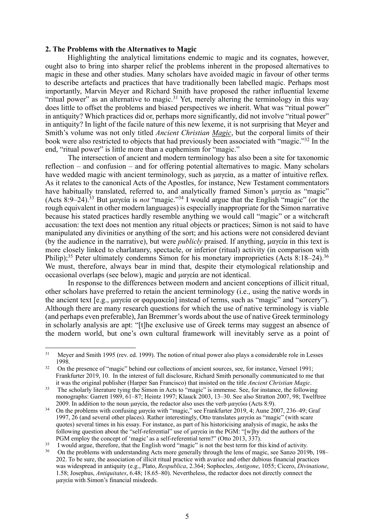#### **2. The Problems with the Alternatives to Magic**

Highlighting the analytical limitations endemic to magic and its cognates, however, ought also to bring into sharper relief the problems inherent in the proposed alternatives to magic in these and other studies. Many scholars have avoided magic in favour of other terms to describe artefacts and practices that have traditionally been labelled magic. Perhaps most importantly, Marvin Meyer and Richard Smith have proposed the rather influential lexeme "ritual power" as an alternative to magic.<sup>31</sup> Yet, merely altering the terminology in this way does little to offset the problems and biased perspectives we inherit. What was "ritual power" in antiquity? Which practices did or, perhaps more significantly, did not involve "ritual power" in antiquity? In light of the facile nature of this new lexeme, it is not surprising that Meyer and Smith's volume was not only titled *Ancient Christian Magic*, but the corporal limits of their book were also restricted to objects that had previously been associated with "magic."32 In the end, "ritual power" is little more than a euphemism for "magic."

The intersection of ancient and modern terminology has also been a site for taxonomic reflection – and confusion – and for offering potential alternatives to magic. Many scholars have wedded magic with ancient terminology, such as μαγεία, as a matter of intuitive reflex*.* As it relates to the canonical Acts of the Apostles, for instance, New Testament commentators have habitually translated, referred to, and analytically framed Simon's μαγεία as "magic" (Acts 8:9–24).33 But μαγεία is *not* "magic."34 I would argue that the English "magic" (or the rough equivalent in other modern languages) is especially inappropriate for the Simon narrative because his stated practices hardly resemble anything we would call "magic" or a witchcraft accusation: the text does not mention any ritual objects or practices; Simon is not said to have manipulated any divinities or anything of the sort; and his actions were not considered deviant (by the audience in the narrative), but were *publicly* praised. If anything, μαγεία in this text is more closely linked to charlatanry, spectacle, or inferior (ritual) activity (in comparison with Philip);<sup>35</sup> Peter ultimately condemns Simon for his monetary improprieties (Acts 8:18–24).<sup>36</sup> We must, therefore, always bear in mind that, despite their etymological relationship and occasional overlaps (see below), magic and μαγεία are not identical.

In response to the differences between modern and ancient conceptions of illicit ritual, other scholars have preferred to retain the ancient terminology (i.e., using the native words in the ancient text [e.g., μαγεία or φαρμακεία] instead of terms, such as "magic" and "sorcery"). Although there are many research questions for which the use of native terminology is viable (and perhaps even preferable), Jan Bremmer's words about the use of native Greek terminology in scholarly analysis are apt: "[t]he exclusive use of Greek terms may suggest an absence of the modern world, but one's own cultural framework will inevitably serve as a point of

<sup>&</sup>lt;sup>31</sup> Meyer and Smith 1995 (rev. ed. 1999). The notion of ritual power also plays a considerable role in Lesses 1998.

<sup>&</sup>lt;sup>32</sup> On the presence of "magic" behind our collections of ancient sources, see, for instance, Versnel 1991; Frankfurter 2019, 10. In the interest of full disclosure, Richard Smith personally communicated to me that it was the original publisher (Harper San Francisco) that insisted on the title *Ancient Christian Magic*. 33 The scholarly literature tying the Simon in Acts to "magic" is immense. See, for instance, the following

monographs: Garrett 1989, 61–87; Heintz 1997; Klauck 2003, 13–30. See also Stratton 2007, 98; Twelftree 2009. In addition to the noun μανεία, the redactor also uses the verb μανεύω (Acts 8:9).

<sup>&</sup>lt;sup>34</sup> On the problems with confusing μαγεία with "magic," see Frankfurter 2019, 4; Aune 2007, 236–49; Graf 1997, 26 (and several other places). Rather interestingly, Otto translates μαγεία as "magic" (with scare quotes) several times in his essay. For instance, as part of his historicising analysis of magic, he asks the following question about the "self-referential" use of μαγεία in the PGM: "[w]hy did the authors of the PGM employ the concept of 'magic' as a self-referential term?" (Otto 2013,  $337$ ).<br>I would argue, therefore, that the English word "magic" is not the best term for this kind of activity.

<sup>&</sup>lt;sup>35</sup> I would argue, therefore, that the English word "magic" is not the best term for this kind of activity.<br><sup>36</sup> On the problems with understanding Acts more generally through the lens of magic, see Sanzo 2019b, 198– 202. To be sure, the association of illicit ritual practice with avarice and other dubious financial practices was widespread in antiquity (e.g., Plato, *Respublica*, 2.364; Sophocles, *Antigone*, 1055; Cicero, *Divinatione*, 1.58; Josephus, *Antiquitates*, 6.48; 18.65–80). Nevertheless, the redactor does not directly connect the μαγεία with Simon's financial misdeeds.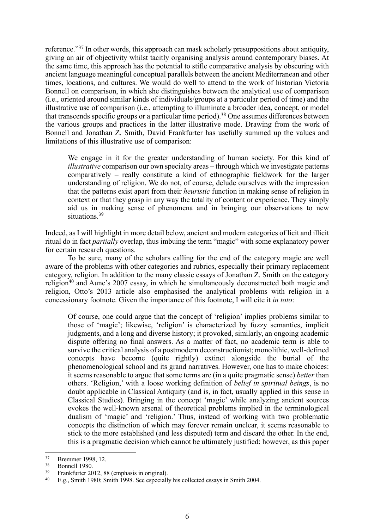reference."37 In other words, this approach can mask scholarly presuppositions about antiquity, giving an air of objectivity whilst tacitly organising analysis around contemporary biases. At the same time, this approach has the potential to stifle comparative analysis by obscuring with ancient language meaningful conceptual parallels between the ancient Mediterranean and other times, locations, and cultures. We would do well to attend to the work of historian Victoria Bonnell on comparison, in which she distinguishes between the analytical use of comparison (i.e., oriented around similar kinds of individuals/groups at a particular period of time) and the illustrative use of comparison (i.e., attempting to illuminate a broader idea, concept, or model that transcends specific groups or a particular time period).38 One assumes differences between the various groups and practices in the latter illustrative mode. Drawing from the work of Bonnell and Jonathan Z. Smith, David Frankfurter has usefully summed up the values and limitations of this illustrative use of comparison:

We engage in it for the greater understanding of human society. For this kind of *illustrative* comparison our own specialty areas – through which we investigate patterns comparatively – really constitute a kind of ethnographic fieldwork for the larger understanding of religion. We do not, of course, delude ourselves with the impression that the patterns exist apart from their *heuristic* function in making sense of religion in context or that they grasp in any way the totality of content or experience. They simply aid us in making sense of phenomena and in bringing our observations to new situations.<sup>39</sup>

Indeed, as I will highlight in more detail below, ancient and modern categories of licit and illicit ritual do in fact *partially* overlap, thus imbuing the term "magic" with some explanatory power for certain research questions.

To be sure, many of the scholars calling for the end of the category magic are well aware of the problems with other categories and rubrics, especially their primary replacement category, religion. In addition to the many classic essays of Jonathan Z. Smith on the category religion<sup>40</sup> and Aune's 2007 essay, in which he simultaneously deconstructed both magic and religion, Otto's 2013 article also emphasised the analytical problems with religion in a concessionary footnote. Given the importance of this footnote, I will cite it *in toto*:

Of course, one could argue that the concept of 'religion' implies problems similar to those of 'magic'; likewise, 'religion' is characterized by fuzzy semantics, implicit judgments, and a long and diverse history; it provoked, similarly, an ongoing academic dispute offering no final answers. As a matter of fact, no academic term is able to survive the critical analysis of a postmodern deconstructionist; monolithic, well-defined concepts have become (quite rightly) extinct alongside the burial of the phenomenological school and its grand narratives. However, one has to make choices: it seems reasonable to argue that some terms are (in a quite pragmatic sense) *better* than others. 'Religion,' with a loose working definition of *belief in spiritual beings*, is no doubt applicable in Classical Antiquity (and is, in fact, usually applied in this sense in Classical Studies). Bringing in the concept 'magic' while analyzing ancient sources evokes the well-known arsenal of theoretical problems implied in the terminological dualism of 'magic' and 'religion.' Thus, instead of working with two problematic concepts the distinction of which may forever remain unclear, it seems reasonable to stick to the more established (and less disputed) term and discard the other. In the end, this is a pragmatic decision which cannot be ultimately justified; however, as this paper

 $rac{37}{38}$  Bremmer 1998, 12.<br>Bonnell 1980.<br> $rac{39}{38}$  Erankfurter 2012.

<sup>&</sup>lt;sup>39</sup> Frankfurter 2012, 88 (emphasis in original).<br><sup>40</sup> E.g., Smith 1980; Smith 1998. See especially his collected essays in Smith 2004.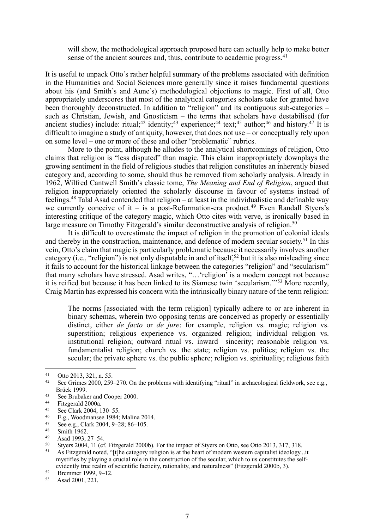will show, the methodological approach proposed here can actually help to make better sense of the ancient sources and, thus, contribute to academic progress.<sup>41</sup>

It is useful to unpack Otto's rather helpful summary of the problems associated with definition in the Humanities and Social Sciences more generally since it raises fundamental questions about his (and Smith's and Aune's) methodological objections to magic. First of all, Otto appropriately underscores that most of the analytical categories scholars take for granted have been thoroughly deconstructed. In addition to "religion" and its contiguous sub-categories – such as Christian, Jewish, and Gnosticism – the terms that scholars have destabilised (for ancient studies) include: ritual;<sup>42</sup> identity;<sup>43</sup> experience;<sup>44</sup> text;<sup>45</sup> author;<sup>46</sup> and history.<sup>47</sup> It is difficult to imagine a study of antiquity, however, that does not use – or conceptually rely upon on some level – one or more of these and other "problematic" rubrics.

More to the point, although he alludes to the analytical shortcomings of religion, Otto claims that religion is "less disputed" than magic. This claim inappropriately downplays the growing sentiment in the field of religious studies that religion constitutes an inherently biased category and, according to some, should thus be removed from scholarly analysis. Already in 1962, Wilfred Cantwell Smith's classic tome, *The Meaning and End of Religion*, argued that religion inappropriately oriented the scholarly discourse in favour of systems instead of feelings.<sup>48</sup> Talal Asad contended that religion – at least in the individualistic and definable way we currently conceive of it – is a post-Reformation-era product.<sup>49</sup> Even Randall Styers's interesting critique of the category magic, which Otto cites with verve, is ironically based in large measure on Timothy Fitzgerald's similar deconstructive analysis of religion.<sup>50</sup>

It is difficult to overestimate the impact of religion in the promotion of colonial ideals and thereby in the construction, maintenance, and defence of modern secular society.<sup>51</sup> In this vein, Otto's claim that magic is particularly problematic because it necessarily involves another category (i.e., "religion") is not only disputable in and of itself,<sup>52</sup> but it is also misleading since it fails to account for the historical linkage between the categories "religion" and "secularism" that many scholars have stressed. Asad writes, "…'religion' is a modern concept not because it is reified but because it has been linked to its Siamese twin 'secularism.'"53 More recently, Craig Martin has expressed his concern with the intrinsically binary nature of the term religion:

The norms [associated with the term religion] typically adhere to or are inherent in binary schemas, wherein two opposing terms are conceived as properly or essentially distinct, either *de facto* or *de jure*: for example, religion vs. magic; religion vs. superstition; religious experience vs. organized religion; individual religion vs. institutional religion; outward ritual vs. inward sincerity; reasonable religion vs. fundamentalist religion; church vs. the state; religion vs. politics; religion vs. the secular; the private sphere vs. the public sphere; religion vs. spirituality; religious faith

<sup>41</sup> Otto 2013, 321, n. 55.<br>42 See Grimes 2000, 250

See Grimes 2000, 259–270. On the problems with identifying "ritual" in archaeological fieldwork, see e.g., Brück 1999.<br>
43 See Brubaker and Cooper 2000.<br>
44 Fitzgerald 2000a.<br>
45 See Clark 2004, 130–55.<br>
46 E.g., Woodmansee 1984; Malina 2014.<br>
5 See e.g., Clark 2004, 9–28; 86–105.<br>
5 Smith 1962.<br>
48 Smith 1962.<br>
49 Asad 1993 27

<sup>&</sup>lt;sup>49</sup> Asad 1993, 27–54.<br><sup>50</sup> Styers 2004, 11 (cf. Fitzgerald 2000b). For the impact of Styers on Otto, see Otto 2013, 317, 318.<br><sup>51</sup> As Fitzgerald noted, "[t]he category religion is at the heart of modern western capitalis

mystifies by playing a crucial role in the construction of the secular, which to us constitutes the selfevidently true realm of scientific facticity, rationality, and naturalness" (Fitzgerald 2000b, 3).

<sup>52</sup> Bremmer 1999, 9–12.

<sup>53</sup> Asad 2001, 221.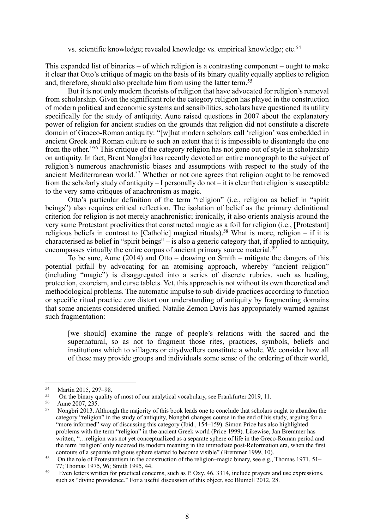vs. scientific knowledge; revealed knowledge vs. empirical knowledge; etc.<sup>54</sup>

This expanded list of binaries – of which religion is a contrasting component – ought to make it clear that Otto's critique of magic on the basis of its binary quality equally applies to religion and, therefore, should also preclude him from using the latter term.55

But it is not only modern theorists of religion that have advocated for religion's removal from scholarship. Given the significant role the category religion has played in the construction of modern political and economic systems and sensibilities, scholars have questioned its utility specifically for the study of antiquity. Aune raised questions in 2007 about the explanatory power of religion for ancient studies on the grounds that religion did not constitute a discrete domain of Graeco-Roman antiquity: "[w]hat modern scholars call 'religion' was embedded in ancient Greek and Roman culture to such an extent that it is impossible to disentangle the one from the other."56 This critique of the category religion has not gone out of style in scholarship on antiquity. In fact, Brent Nongbri has recently devoted an entire monograph to the subject of religion's numerous anachronistic biases and assumptions with respect to the study of the ancient Mediterranean world.<sup>57</sup> Whether or not one agrees that religion ought to be removed from the scholarly study of antiquity – I personally do not – it is clear that religion is susceptible to the very same critiques of anachronism as magic.

Otto's particular definition of the term "religion" (i.e., religion as belief in "spirit beings") also requires critical reflection. The isolation of belief as the primary definitional criterion for religion is not merely anachronistic; ironically, it also orients analysis around the very same Protestant proclivities that constructed magic as a foil for religion (i.e., [Protestant] religious beliefs in contrast to [Catholic] magical rituals).<sup>58</sup> What is more, religion – if it is characterised as belief in "spirit beings" – is also a generic category that, if applied to antiquity, encompasses virtually the entire corpus of ancient primary source material. $\frac{5}{5}$ 

To be sure, Aune (2014) and Otto – drawing on Smith – mitigate the dangers of this potential pitfall by advocating for an atomising approach, whereby "ancient religion" (including "magic") is disaggregated into a series of discrete rubrics, such as healing, protection, exorcism, and curse tablets. Yet, this approach is not without its own theoretical and methodological problems. The automatic impulse to sub-divide practices according to function or specific ritual practice *can* distort our understanding of antiquity by fragmenting domains that some ancients considered unified. Natalie Zemon Davis has appropriately warned against such fragmentation:

[we should] examine the range of people's relations with the sacred and the supernatural, so as not to fragment those rites, practices, symbols, beliefs and institutions which to villagers or citydwellers constitute a whole. We consider how all of these may provide groups and individuals some sense of the ordering of their world,

<sup>54</sup> Martin 2015, 297–98.<br>55 On the binary quality of most of our analytical vocabulary, see Frankfurter 2019, 11.<br>56 Aune 2007, 235.<br>57 Nongkri 2013, Although the majority of this book leads and to conclude that scholars

<sup>57</sup> Nongbri 2013. Although the majority of this book leads one to conclude that scholars ought to abandon the category "religion" in the study of antiquity, Nongbri changes course in the end of his study, arguing for a "more informed" way of discussing this category (Ibid., 154–159). Simon Price has also highlighted problems with the term "religion" in the ancient Greek world (Price 1999). Likewise, Jan Bremmer has written, "…religion was not yet conceptualized as a separate sphere of life in the Greco-Roman period and the term 'religion' only received its modern meaning in the immediate post-Reformation era, when the first

contours of a separate religious sphere started to become visible" (Bremmer 1999, 10).<br>
58 On the role of Protestantism in the construction of the religion–magic binary, see e.g., Thomas 1971, 51–<br>
77; Thomas 1975, 96; Smi

<sup>&</sup>lt;sup>59</sup> Even letters written for practical concerns, such as P. Oxy. 46. 3314, include prayers and use expressions, such as "divine providence." For a useful discussion of this object, see Blumell 2012, 28.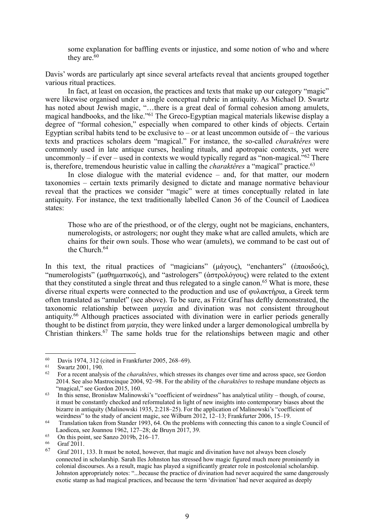some explanation for baffling events or injustice, and some notion of who and where they are.<sup>60</sup>

Davis' words are particularly apt since several artefacts reveal that ancients grouped together various ritual practices.

In fact, at least on occasion, the practices and texts that make up our category "magic" were likewise organised under a single conceptual rubric in antiquity. As Michael D. Swartz has noted about Jewish magic, "...there is a great deal of formal cohesion among amulets, magical handbooks, and the like."61 The Greco-Egyptian magical materials likewise display a degree of "formal cohesion," especially when compared to other kinds of objects. Certain Egyptian scribal habits tend to be exclusive to – or at least uncommon outside of – the various texts and practices scholars deem "magical." For instance, the so-called *charaktêres* were commonly used in late antique curses, healing rituals, and apotropaic contexts, yet were uncommonly – if ever – used in contexts we would typically regard as "non-magical." $62$  There is, therefore, tremendous heuristic value in calling the *charaktêres* a "magical" practice.<sup>63</sup>

In close dialogue with the material evidence – and, for that matter, our modern taxonomies – certain texts primarily designed to dictate and manage normative behaviour reveal that the practices we consider "magic" were at times conceptually related in late antiquity. For instance, the text traditionally labelled Canon 36 of the Council of Laodicea states:

Those who are of the priesthood, or of the clergy, ought not be magicians, enchanters, numerologists, or astrologers; nor ought they make what are called amulets, which are chains for their own souls. Those who wear (amulets), we command to be cast out of the Church. 64

In this text, the ritual practices of "magicians" (μάγους), "enchanters" (ἐπαοιδούς), "numerologists" (μαθηματικούς), and "astrologers" (ἀστρολόγους) were related to the extent that they constituted a single threat and thus relegated to a single canon.<sup>65</sup> What is more, these diverse ritual experts were connected to the production and use of φυλακτήρια, a Greek term often translated as "amulet" (see above). To be sure, as Fritz Graf has deftly demonstrated, the taxonomic relationship between μαγεία and divination was not consistent throughout antiquity.66 Although practices associated with divination were in earlier periods generally thought to be distinct from μαγεία, they were linked under a larger demonological umbrella by Christian thinkers.67 The same holds true for the relationships between magic and other

<sup>&</sup>lt;sup>60</sup> Davis 1974, 312 (cited in Frankfurter 2005, 268–69).<br>
Swartz 2001, 190.<br>
<sup>62</sup> For a recent analysis of the *charaktêres* which stresse

<sup>62</sup> For a recent analysis of the *charaktêres*, which stresses its changes over time and across space, see Gordon 2014. See also Mastrocinque 2004, 92–98. For the ability of the *charaktêres* to reshape mundane objects as "magical," see Gordon 2015, 160.<br>
In this sense, Bronisław Malinowski's "coefficient of weirdness" has analytical utility – though, of course,

it must be constantly checked and reformulated in light of new insights into contemporary biases about the bizarre in antiquity (Malinowski 1935, 2:218–25). For the application of Malinowski's "coefficient of weirdness" to the study of ancient magic, see Wilburn 2012, 12–13; Frankfurter 2006, 15–19.

<sup>64</sup> Translation taken from Stander 1993, 64. On the problems with connecting this canon to a single Council of Laodicea, see Joannou 1962, 127–28; de Bruyn 2017, 39.

<sup>65</sup> On this point, see Sanzo 2019b, 216–17.<br>66 Graf 2011.

<sup>67</sup> Graf 2011, 133. It must be noted, however, that magic and divination have not always been closely connected in scholarship. Sarah Iles Johnston has stressed how magic figured much more prominently in colonial discourses. As a result, magic has played a significantly greater role in postcolonial scholarship. Johnston appropriately notes: "...because the practice of divination had never acquired the same dangerously exotic stamp as had magical practices, and because the term 'divination' had never acquired as deeply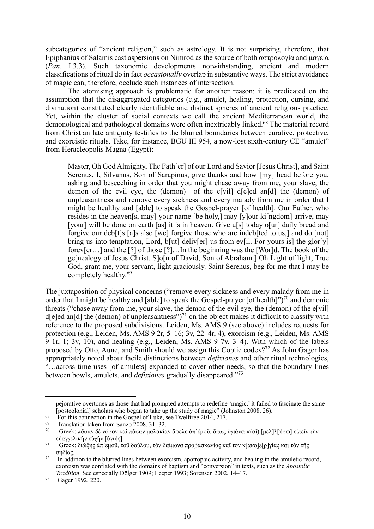subcategories of "ancient religion," such as astrology. It is not surprising, therefore, that Epiphanius of Salamis cast aspersions on Nimrod as the source of both ἀστρολογία and μαγεία (*Pan*. I.3.3). Such taxonomic developments notwithstanding, ancient and modern classifications of ritual do in fact *occasionally* overlap in substantive ways. The strict avoidance of magic can, therefore, occlude such instances of intersection.

The atomising approach is problematic for another reason: it is predicated on the assumption that the disaggregated categories (e.g., amulet, healing, protection, cursing, and divination) constituted clearly identifiable and distinct spheres of ancient religious practice. Yet, within the cluster of social contexts we call the ancient Mediterranean world, the demonological and pathological domains were often inextricably linked.<sup>68</sup> The material record from Christian late antiquity testifies to the blurred boundaries between curative, protective, and exorcistic rituals. Take, for instance, BGU III 954, a now-lost sixth-century CE "amulet" from Heracleopolis Magna (Egypt):

Master, Oh God Almighty, The Fath[er] of our Lord and Savior [Jesus Christ], and Saint Serenus, I, Silvanus, Son of Sarapinus, give thanks and bow [my] head before you, asking and beseeching in order that you might chase away from me, your slave, the demon of the evil eye, the (demon) of the e[vil] d[e]ed an[d] the (demon) of unpleasantness and remove every sickness and every malady from me in order that I might be healthy and [able] to speak the Gospel-prayer [of health]. Our Father, who resides in the heaven[s, may] your name [be holy,] may [y]our ki[ngdom] arrive, may [your] will be done on earth [as] it is in heaven. Give u[s] today o[ur] daily bread and forgive our deb[t]s [a]s also [we] forgive those who are indeb[ted to us,] and do [not] bring us into temptation, Lord, b[ut] deliv[er] us from ev[il. For yours is] the glor[y] forev[er…] and the [?] of those [?]…In the beginning was the [Wor]d. The book of the ge[nealogy of Jesus Christ, S]o[n of David, Son of Abraham.] Oh Light of light, True God, grant me, your servant, light graciously. Saint Serenus, beg for me that I may be completely healthy.69

The juxtaposition of physical concerns ("remove every sickness and every malady from me in order that I might be healthy and [able] to speak the Gospel-prayer [of health]" $)^{70}$  and demonic threats ("chase away from me, your slave, the demon of the evil eye, the (demon) of the e[vil] d[e]ed an[d] the (demon) of unpleasantness")<sup>71</sup> on the object makes it difficult to classify with reference to the proposed subdivisions. Leiden, Ms. AMS 9 (see above) includes requests for protection (e.g., Leiden, Ms. AMS 9 2r, 5–16; 3v, 22–4r, 4), exorcism (e.g., Leiden, Ms. AMS 9 1r, 1; 3v, 10), and healing (e.g., Leiden, Ms. AMS  $9$  7v, 3–4). With which of the labels proposed by Otto, Aune, and Smith should we assign this Coptic codex?72 As John Gager has appropriately noted about facile distinctions between *defixiones* and other ritual technologies, "…across time uses [of amulets] expanded to cover other needs, so that the boundary lines between bowls, amulets, and *defixiones* gradually disappeared."73

pejorative overtones as those that had prompted attempts to redefine 'magic,' it failed to fascinate the same [postcolonial] scholars who began to take up the study of magic" (Johnston 2008, 26).

<sup>&</sup>lt;sup>68</sup> For this connection in the Gospel of Luke, see Twelftree 2014, 217.

<sup>&</sup>lt;sup>69</sup> Translation taken from Sanzo 2008, 31–32.<br><sup>70</sup> Greek:  $\vec{\pi}$ <sup>86</sup>501.8<sup>8</sup> Végov vol. $\vec{\pi}$ 8601.110<sup>3</sup> grég

Greek: πᾶσαν δὲ νόσον καὶ πᾶσαν μαλακίαν ἄφελε ἀπ'ἐμοῦ, ὅπως ὑγιάνω κ(αὶ) [μελ]λ[ήσω] εἰπεῖν τὴν εὐαγγελικὴν εὐχὴν [ὑγιής].

<sup>71</sup> Greek: διώξης ἀπ᾽ἐμοῦ, τοῦ δούλου, τὸν δαίμονα προβασκανίας καῖ τον κ[ακο]ε[ρ]γίας καὶ τὸν τῆς ἀηδίας.

 $72 \text{ In addition to the blurred lines between exorcism, apotropaic activity, and healing in the amuletic record.}$ exorcism was conflated with the domains of baptism and "conversion" in texts, such as the *Apostolic Tradition*. See especially Dölger 1909; Leeper 1993; Sorensen 2002, 14–17.

<sup>73</sup> Gager 1992, 220.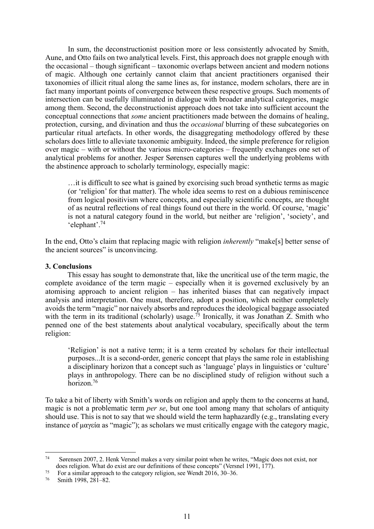In sum, the deconstructionist position more or less consistently advocated by Smith, Aune, and Otto fails on two analytical levels. First, this approach does not grapple enough with the occasional – though significant – taxonomic overlaps between ancient and modern notions of magic. Although one certainly cannot claim that ancient practitioners organised their taxonomies of illicit ritual along the same lines as, for instance, modern scholars, there are in fact many important points of convergence between these respective groups. Such moments of intersection can be usefully illuminated in dialogue with broader analytical categories, magic among them. Second, the deconstructionist approach does not take into sufficient account the conceptual connections that *some* ancient practitioners made between the domains of healing, protection, cursing, and divination and thus the *occasional* blurring of these subcategories on particular ritual artefacts. In other words, the disaggregating methodology offered by these scholars does little to alleviate taxonomic ambiguity. Indeed, the simple preference for religion over magic – with or without the various micro-categories – frequently exchanges one set of analytical problems for another. Jesper Sørensen captures well the underlying problems with the abstinence approach to scholarly terminology, especially magic:

…it is difficult to see what is gained by exorcising such broad synthetic terms as magic (or 'religion' for that matter). The whole idea seems to rest on a dubious reminiscence from logical positivism where concepts, and especially scientific concepts, are thought of as neutral reflections of real things found out there in the world. Of course, 'magic' is not a natural category found in the world, but neither are 'religion', 'society', and 'elephant'.74

In the end, Otto's claim that replacing magic with religion *inherently* "make[s] better sense of the ancient sources" is unconvincing.

### **3. Conclusions**

This essay has sought to demonstrate that, like the uncritical use of the term magic, the complete avoidance of the term magic – especially when it is governed exclusively by an atomising approach to ancient religion – has inherited biases that can negatively impact analysis and interpretation. One must, therefore, adopt a position, which neither completely avoids the term "magic" nor naively absorbs and reproduces the ideological baggage associated with the term in its traditional (scholarly) usage.<sup>75</sup> Ironically, it was Jonathan Z. Smith who penned one of the best statements about analytical vocabulary, specifically about the term religion:

'Religion' is not a native term; it is a term created by scholars for their intellectual purposes...It is a second-order, generic concept that plays the same role in establishing a disciplinary horizon that a concept such as 'language' plays in linguistics or 'culture' plays in anthropology. There can be no disciplined study of religion without such a horizon.76

To take a bit of liberty with Smith's words on religion and apply them to the concerns at hand, magic is not a problematic term *per se*, but one tool among many that scholars of antiquity should use. This is not to say that we should wield the term haphazardly (e.g., translating every instance of μαγεία as "magic"); as scholars we must critically engage with the category magic,

 <sup>74</sup> Sørensen 2007, 2. Henk Versnel makes a very similar point when he writes, "Magic does not exist, nor does religion. What do exist are our definitions of these concepts" (Versnel 1991, 177).<br>
For a similar approach to the category religion, see Wendt 2016, 30–36.<br>
Smith 1998, 281–82.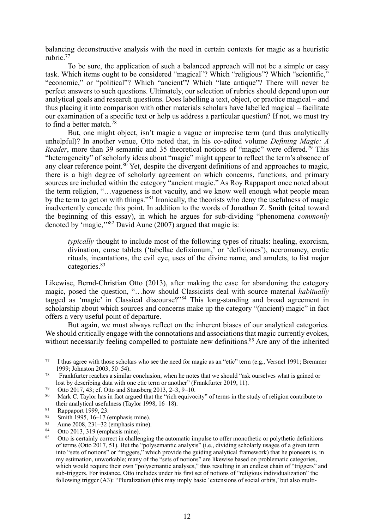balancing deconstructive analysis with the need in certain contexts for magic as a heuristic rubric.77

To be sure, the application of such a balanced approach will not be a simple or easy task. Which items ought to be considered "magical"? Which "religious"? Which "scientific," "economic," or "political"? Which "ancient"? Which "late antique"? There will never be perfect answers to such questions. Ultimately, our selection of rubrics should depend upon our analytical goals and research questions. Does labelling a text, object, or practice magical – and thus placing it into comparison with other materials scholars have labelled magical – facilitate our examination of a specific text or help us address a particular question? If not, we must try to find a better match. $\bar{78}$ 

But, one might object, isn't magic a vague or imprecise term (and thus analytically unhelpful)? In another venue, Otto noted that, in his co-edited volume *Defining Magic: A Reader*, more than 39 semantic and 35 theoretical notions of "magic" were offered.<sup>79</sup> This "heterogeneity" of scholarly ideas about "magic" might appear to reflect the term's absence of any clear reference point.<sup>80</sup> Yet, despite the divergent definitions of and approaches to magic, there is a high degree of scholarly agreement on which concerns, functions, and primary sources are included within the category "ancient magic." As Roy Rappaport once noted about the term religion, "…vagueness is not vacuity, and we know well enough what people mean by the term to get on with things."81 Ironically, the theorists who deny the usefulness of magic inadvertently concede this point. In addition to the words of Jonathan Z. Smith (cited toward the beginning of this essay), in which he argues for sub-dividing "phenomena *commonly* denoted by 'magic,'"82 David Aune (2007) argued that magic is:

*typically* thought to include most of the following types of rituals: healing, exorcism, divination, curse tablets ('tabellae defixionum,' or 'defixiones'), necromancy, erotic rituals, incantations, the evil eye, uses of the divine name, and amulets, to list major categories.83

Likewise, Bernd-Christian Otto (2013), after making the case for abandoning the category magic, posed the question, "…how should Classicists deal with source material *habitually*  tagged as 'magic' in Classical discourse?"84 This long-standing and broad agreement in scholarship about which sources and concerns make up the category "(ancient) magic" in fact offers a very useful point of departure.

But again, we must always reflect on the inherent biases of our analytical categories. We should critically engage with the connotations and associations that magic currently evokes, without necessarily feeling compelled to postulate new definitions.<sup>85</sup> Are any of the inherited

 <sup>77</sup> I thus agree with those scholars who see the need for magic as an "etic" term (e.g., Versnel 1991; Bremmer

 $18<sup>78</sup>$  Frankfurter reaches a similar conclusion, when he notes that we should "ask ourselves what is gained or lost by describing data with one etic term or another" (Frankfurter 2019, 11).<br>
Otto 2017, 43; cf. Otto and Stausberg 2013, 2–3, 9–10.<br>
<sup>80</sup> Mark C. Taylor has in fact argued that the "rich equivocity" of terms in the stud

their analytical usefulness (Taylor 1998, 16–18).

<sup>81</sup> Rappaport 1999, 23.<br>
82 Smith 1995, 16–17 (emphasis mine).<br>
83 Aune 2008, 231, 32 (emphasis mine).

<sup>&</sup>lt;sup>83</sup> Aune 2008, 231–32 (emphasis mine).<br><sup>84</sup> Otto 2013, 319 (emphasis mine).

 $84$  Otto 2013, 319 (emphasis mine).

<sup>85</sup> Otto is certainly correct in challenging the automatic impulse to offer monothetic or polythetic definitions of terms (Otto 2017, 51). But the "polysemantic analysis" (i.e., dividing scholarly usages of a given term into "sets of notions" or "triggers," which provide the guiding analytical framework) that he pioneers is, in my estimation, unworkable; many of the "sets of notions" are likewise based on problematic categories, which would require their own "polysemantic analyses," thus resulting in an endless chain of "triggers" and sub-triggers. For instance, Otto includes under his first set of notions of "religious individualization" the following trigger (A3): "Pluralization (this may imply basic 'extensions of social orbits,' but also multi-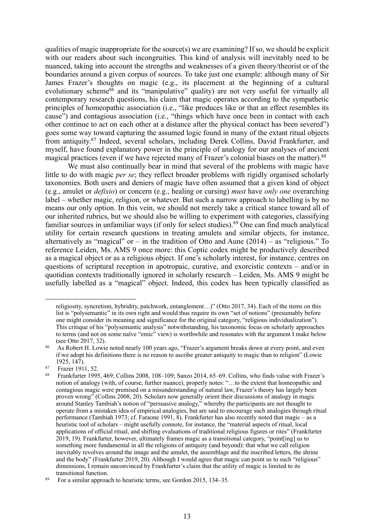qualities of magic inappropriate for the source(s) we are examining? If so, we should be explicit with our readers about such incongruities. This kind of analysis will inevitably need to be nuanced, taking into account the strengths and weaknesses of a given theory/theorist or of the boundaries around a given corpus of sources. To take just one example: although many of Sir James Frazer's thoughts on magic (e.g., its placement at the beginning of a cultural evolutionary scheme<sup>86</sup> and its "manipulative" quality) are not very useful for virtually all contemporary research questions, his claim that magic operates according to the sympathetic principles of homeopathic association (i.e., "like produces like or that an effect resembles its cause") and contagious association (i.e., "things which have once been in contact with each other continue to act on each other at a distance after the physical contact has been severed") goes some way toward capturing the assumed logic found in many of the extant ritual objects from antiquity.87 Indeed, several scholars, including Derek Collins, David Frankfurter, and myself, have found explanatory power in the principle of analogy for our analyses of ancient magical practices (even if we have rejected many of Frazer's colonial biases on the matter).<sup>88</sup>

We must also continually bear in mind that several of the problems with magic have little to do with magic *per se*; they reflect broader problems with rigidly organised scholarly taxonomies. Both users and deniers of magic have often assumed that a given kind of object (e.g., amulet or *defixio*) or concern (e.g., healing or cursing) *must* have *only one* overarching label – whether magic, religion, or whatever. But such a narrow approach to labelling is by no means our only option. In this vein, we should not merely take a critical stance toward all of our inherited rubrics, but we should also be willing to experiment with categories, classifying familiar sources in unfamiliar ways (if only for select studies).89 One can find much analytical utility for certain research questions in treating amulets and similar objects, for instance, alternatively as "magical" or – in the tradition of Otto and Aune  $(2014)$  – as "religious." To reference Leiden, Ms. AMS 9 once more: this Coptic codex might be productively described as a magical object or as a religious object. If one's scholarly interest, for instance, centres on questions of scriptural reception in apotropaic, curative, and exorcistic contexts – and/or in quotidian contexts traditionally ignored in scholarly research – Leiden, Ms. AMS 9 might be usefully labelled as a "magical" object. Indeed, this codex has been typically classified as

religiosity, syncretism, hybridity, patchwork, entanglement…)" (Otto 2017, 34). Each of the items on this list is "polysemantic" in its own right and would thus require its own "set of notions" (presumably before one might consider its meaning and significance for the original category, "religious individualization"). This critique of his "polysemantic analysis" notwithstanding, his taxonomic focus on scholarly approaches to terms (and not on some naïve "emic" view) is worthwhile and resonates with the argument I make below (see Otto 2017, 32).<br><sup>86</sup> As Robert H. Lowie noted nearly 100 years ago, "Frazer's argument breaks down at every point, and even

if we adopt his definitions there is no reason to ascribe greater antiquity to magic than to religion" (Lowie 1925, 147).<br>Frazer 1911, 52.

<sup>&</sup>lt;sup>87</sup> Frazer 1911, 52. 88 Frazer 1911, 52. 88 Frazer's Collins 2008, 108–109; Sanzo 2014, 65–69. Collins, who finds value with Frazer's notion of analogy (with, of course, further nuance), properly notes: "…to the extent that homeopathic and contagious magic were premised on a misunderstanding of natural law, Frazer's theory has largely been proven wrong" (Collins 2008, 20). Scholars now generally orient their discussions of analogy in magic around Stanley Tambiah's notion of "persuasive analogy," whereby the participants are not thought to operate from a mistaken idea of empirical analogies, but are said to encourage such analogies through ritual performance (Tambiah 1973; cf. Faraone 1991, 8). Frankfurter has also recently noted that magic – as a heuristic tool of scholars – might usefully connote, for instance, the "material aspects of ritual, local applications of official ritual, and shifting evaluations of traditional religious figures or rites" (Frankfurter 2019, 19). Frankfurter, however, ultimately frames magic as a transitional category, "point[ing] us to something more fundamental in all the religions of antiquity (and beyond): that what we call religion inevitably revolves around the image and the amulet, the assemblage and the inscribed letters, the shrine and the body" (Frankfurter 2019, 20). Although I would agree that magic can point us to such "religious" dimensions, I remain unconvinced by Frankfurter's claim that the utility of magic is limited to its transitional function.

<sup>&</sup>lt;sup>89</sup> For a similar approach to heuristic terms, see Gordon 2015, 134–35.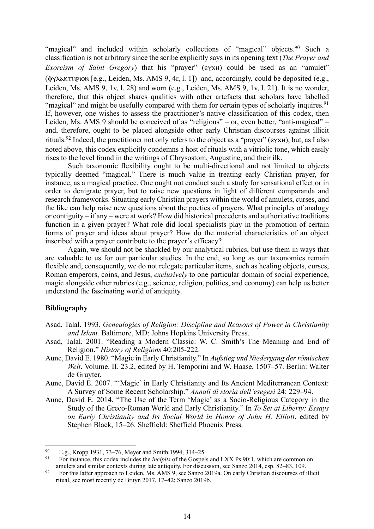"magical" and included within scholarly collections of "magical" objects.<sup>90</sup> Such a classification is not arbitrary since the scribe explicitly says in its opening text (*The Prayer and Exorcism of Saint Gregory*) that his "prayer" ( $\varepsilon \gamma xH$ ) could be used as an "amulet" (ⲫⲩⲗⲁⲕⲧⲏⲣⲓⲟⲛ [e.g., Leiden, Ms. AMS 9, 4r, l. 1]) and, accordingly, could be deposited (e.g., Leiden, Ms. AMS 9, 1v, l. 28) and worn (e.g., Leiden, Ms. AMS 9, 1v, l. 21). It is no wonder, therefore, that this object shares qualities with other artefacts that scholars have labelled "magical" and might be usefully compared with them for certain types of scholarly inquires.<sup>91</sup> If, however, one wishes to assess the practitioner's native classification of this codex, then Leiden, Ms. AMS 9 should be conceived of as "religious" – or, even better, "anti-magical" – and, therefore, ought to be placed alongside other early Christian discourses against illicit rituals.<sup>92</sup> Indeed, the practitioner not only refers to the object as a "prayer" ( $\epsilon \gamma x_H$ ), but, as I also noted above, this codex explicitly condemns a host of rituals with a vitriolic tone, which easily rises to the level found in the writings of Chrysostom, Augustine, and their ilk.

Such taxonomic flexibility ought to be multi-directional and not limited to objects typically deemed "magical." There is much value in treating early Christian prayer, for instance, as a magical practice. One ought not conduct such a study for sensational effect or in order to denigrate prayer, but to raise new questions in light of different comparanda and research frameworks. Situating early Christian prayers within the world of amulets, curses, and the like can help raise new questions about the poetics of prayers. What principles of analogy or contiguity – if any – were at work? How did historical precedents and authoritative traditions function in a given prayer? What role did local specialists play in the promotion of certain forms of prayer and ideas about prayer? How do the material characteristics of an object inscribed with a prayer contribute to the prayer's efficacy?

Again, we should not be shackled by our analytical rubrics, but use them in ways that are valuable to us for our particular studies. In the end, so long as our taxonomies remain flexible and, consequently, we do not relegate particular items, such as healing objects, curses, Roman emperors, coins, and Jesus, *exclusively* to one particular domain of social experience, magic alongside other rubrics (e.g., science, religion, politics, and economy) can help us better understand the fascinating world of antiquity.

# **Bibliography**

- Asad, Talal. 1993. *Genealogies of Religion: Discipline and Reasons of Power in Christianity and Islam.* Baltimore, MD: Johns Hopkins University Press.
- Asad, Talal. 2001. "Reading a Modern Classic: W. C. Smith's The Meaning and End of Religion." *History of Religions* 40:205-222.
- Aune, David E. 1980. "Magic in Early Christianity." In *Aufstieg und Niedergang der römischen Welt*. Volume. II. 23.2, edited by H. Temporini and W. Haase, 1507–57. Berlin: Walter de Gruyter.
- Aune, David E. 2007. "'Magic' in Early Christianity and Its Ancient Mediterranean Context: A Survey of Some Recent Scholarship." *Annali di storia dell'esegesi* 24: 229–94.
- Aune, David E. 2014. "The Use of the Term 'Magic' as a Socio-Religious Category in the Study of the Greco-Roman World and Early Christianity." In *To Set at Liberty: Essays on Early Christianity and Its Social World in Honor of John H. Elliott*, edited by Stephen Black, 15–26. Sheffield: Sheffield Phoenix Press.

<sup>&</sup>lt;sup>90</sup> E.g., Kropp 1931, 73–76, Meyer and Smith 1994, 314–25.<br><sup>91</sup> For instance, this codex includes the *incipits* of the Gospels and LXX Ps 90:1, which are common on amulets and similar contexts during late antiquity. For

<sup>&</sup>lt;sup>92</sup> For this latter approach to Leiden, Ms. AMS 9, see Sanzo 2019a. On early Christian discourses of illicit ritual, see most recently de Bruyn 2017, 17–42; Sanzo 2019b.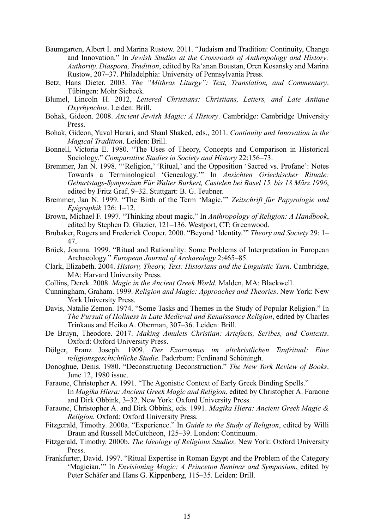- Baumgarten, Albert I. and Marina Rustow. 2011. "Judaism and Tradition: Continuity, Change and Innovation." In *Jewish Studies at the Crossroads of Anthropology and History: Authority, Diaspora, Tradition*, edited by Ra'anan Boustan, Oren Kosansky and Marina Rustow, 207–37. Philadelphia: University of Pennsylvania Press.
- Betz, Hans Dieter. 2003. *The "Mithras Liturgy": Text, Translation, and Commentary*. Tübingen: Mohr Siebeck.
- Blumel, Lincoln H. 2012, *Lettered Christians: Christians, Letters, and Late Antique Oxyrhynchus*. Leiden: Brill.
- Bohak, Gideon. 2008. *Ancient Jewish Magic: A History*. Cambridge: Cambridge University Press.
- Bohak, Gideon, Yuval Harari, and Shaul Shaked, eds., 2011. *Continuity and Innovation in the Magical Tradition*. Leiden: Brill.
- Bonnell, Victoria E. 1980. "The Uses of Theory, Concepts and Comparison in Historical Sociology." *Comparative Studies in Society and History* 22:156–73.
- Bremmer, Jan N. 1998. "'Religion,' 'Ritual,' and the Opposition 'Sacred vs. Profane': Notes Towards a Terminological 'Genealogy.'" In *Ansichten Griechischer Rituale: Geburtstags-Symposium Für Walter Burkert, Castelen bei Basel 15. bis 18 März 1996*, edited by Fritz Graf, 9–32. Stuttgart: B. G. Teubner.
- Bremmer, Jan N. 1999. "The Birth of the Term 'Magic.'" *Zeitschrift für Papyrologie und Epigraphik* 126: 1–12.
- Brown, Michael F. 1997. "Thinking about magic." In *Anthropology of Religion: A Handbook*, edited by Stephen D. Glazier, 121–136. Westport, CT: Greenwood.
- Brubaker, Rogers and Frederick Cooper. 2000. "Beyond 'Identity.'" *Theory and Society* 29: 1– 47.
- Brück, Joanna. 1999. "Ritual and Rationality: Some Problems of Interpretation in European Archaeology." *European Journal of Archaeology* 2:465–85.
- Clark, Elizabeth. 2004. *History, Theory, Text: Historians and the Linguistic Turn*. Cambridge, MA: Harvard University Press.
- Collins, Derek. 2008. *Magic in the Ancient Greek World*. Malden, MA: Blackwell.
- Cunningham, Graham. 1999. *Religion and Magic: Approaches and Theories*. New York: New York University Press.
- Davis, Natalie Zemon. 1974. "Some Tasks and Themes in the Study of Popular Religion." In *The Pursuit of Holiness in Late Medieval and Renaissance Religion*, edited by Charles Trinkaus and Heiko A. Oberman, 307–36. Leiden: Brill.
- De Bruyn, Theodore. 2017. *Making Amulets Christian: Artefacts, Scribes, and Contexts*. Oxford: Oxford University Press.
- Dölger, Franz Joseph. 1909. *Der Exorzismus im altchristlichen Taufritual: Eine religionsgeschichtliche Studie*. Paderborn: Ferdinand Schöningh.
- Donoghue, Denis. 1980. "Deconstructing Deconstruction." *The New York Review of Books*. June 12, 1980 issue.
- Faraone, Christopher A. 1991. "The Agonistic Context of Early Greek Binding Spells." In *Magika Hiera: Ancient Greek Magic and Religion*, edited by Christopher A. Faraone and Dirk Obbink, 3–32. New York: Oxford University Press.
- Faraone, Christopher A. and Dirk Obbink, eds. 1991. *Magika Hiera: Ancient Greek Magic & Religion.* Oxford: Oxford University Press.
- Fitzgerald, Timothy. 2000a. "Experience." In *Guide to the Study of Religion*, edited by Willi Braun and Russell McCutcheon, 125–39. London: Continuum.
- Fitzgerald, Timothy. 2000b. *The Ideology of Religious Studies*. New York: Oxford University Press.
- Frankfurter, David. 1997. "Ritual Expertise in Roman Egypt and the Problem of the Category 'Magician.'" In *Envisioning Magic: A Princeton Seminar and Symposium*, edited by Peter Schäfer and Hans G. Kippenberg, 115–35. Leiden: Brill.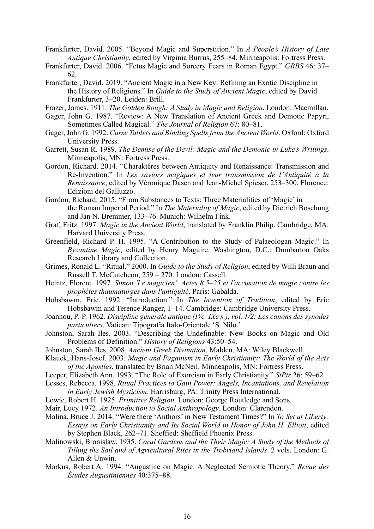- Frankfurter, David. 2005. "Beyond Magic and Superstition." In *A People's History of Late Antique Christianity*, edited by Virginia Burrus, 255–84. Minneapolis: Fortress Press.
- Frankfurter, David. 2006. "Fetus Magic and Sorcery Fears in Roman Egypt." *GRBS* 46: 37– 62.
- Frankfurter, David. 2019. "Ancient Magic in a New Key: Refining an Exotic Discipline in the History of Religions." In *Guide to the Study of Ancient Magic*, edited by David Frankfurter, 3–20. Leiden: Brill.
- Frazer, James. 1911. *The Golden Bough: A Study in Magic and Religion*. London: Macmillan.
- Gager, John G. 1987. "Review: A New Translation of Ancient Greek and Demotic Papyri, Sometimes Called Magical." *The Journal of Religion* 67: 80–81.
- Gager, John G. 1992. *Curse Tablets and Binding Spells from the Ancient World*. Oxford: Oxford University Press.
- Garrett, Susan R. 1989. *The Demise of the Devil: Magic and the Demonic in Luke's Writings*. Minneapolis, MN: Fortress Press.
- Gordon, Richard. 2014. "Charaktêres between Antiquity and Renaissance: Transmission and Re-Invention." In *Les saviors magiques et leur transmission de l'Antiquité à la Renaissance*, edited by Véronique Dasen and Jean-Michel Spieser, 253–300. Florence: Edizioni del Galluzzo.
- Gordon, Richard. 2015. "From Substances to Texts: Three Materialities of 'Magic' in the Roman Imperial Period." In *The Materiality of Magic*, edited by Dietrich Boschung and Jan N. Bremmer, 133–76. Munich: Wilhelm Fink.
- Graf, Fritz. 1997. *Magic in the Ancient World*, translated by Franklin Philip. Cambridge, MA: Harvard University Press.
- Greenfield, Richard P. H. 1995. "A Contribution to the Study of Palaeologan Magic." In *Byzantine Magic*, edited by Henry Maguire. Washington, D.C.: Dumbarton Oaks Research Library and Collection.
- Grimes, Ronald L. "Ritual." 2000. In *Guide to the Study of Religion*, edited by Willi Braun and Russell T. McCutcheon, 259 – 270. London: Cassell.
- Heintz, Florent. 1997. *Simon 'Le magicien'. Actes 8.5–25 et l'accusation de magie contre les prophètes thaumaturges dans l'antiquité*. Paris: Gabalda.
- Hobsbawm, Eric. 1992. "Introduction." In *The Invention of Tradition*, edited by Eric Hobsbawm and Terence Ranger, 1–14. Cambridge: Cambridge University Press.
- Joannou, P.-P. 1962. *Discipline génerale antique (IVe–IXe s.), vol. 1/2: Les canons des synodes particuliers*. Vatican: Tipografia Italo-Orientale 'S. Nilo.'
- Johnston, Sarah Iles. 2003. "Describing the Undefinable: New Books on Magic and Old Problems of Definition." *History of Religions* 43:50–54.
- Johnston, Sarah Iles. 2008. *Ancient Greek Divination*. Malden, MA: Wiley Blackwell.
- Klauck, Hans-Josef. 2003. *Magic and Paganism in Early Christianity: The World of the Acts of the Apostles*, translated by Brian McNeil. Minneapolis, MN: Fortress Press.
- Leeper, Elizabeth Ann. 1993. "The Role of Exorcism in Early Christianity." *StPtr* 26: 59–62.
- Lesses, Rebecca. 1998. *Ritual Practices to Gain Power: Angels, Incantations, and Revelation in Early Jewish Mysticism*. Harrisburg, PA: Trinity Press International.
- Lowie, Robert H. 1925. *Primitive Religion*. London: George Routledge and Sons.
- Mair, Lucy 1972. *An Introduction to Social Anthropology*. London: Clarendon.
- Malina, Bruce J. 2014. "Were there 'Authors' in New Testament Times?" In *To Set at Liberty: Essays on Early Christianity and Its Social World in Honor of John H. Elliott*, edited by Stephen Black, 262–71. Sheffied: Sheffield Phoenix Press.
- Malinowski, Bronisław. 1935. *Coral Gardens and the Their Magic: A Study of the Methods of Tilling the Soil and of Agricultural Rites in the Trobriand Islands*. 2 vols. London: G. Allen & Unwin.
- Markus, Robert A. 1994. "Augustine on Magic: A Neglected Semiotic Theory." *Revue des Études Augustiniennes* 40:375–88.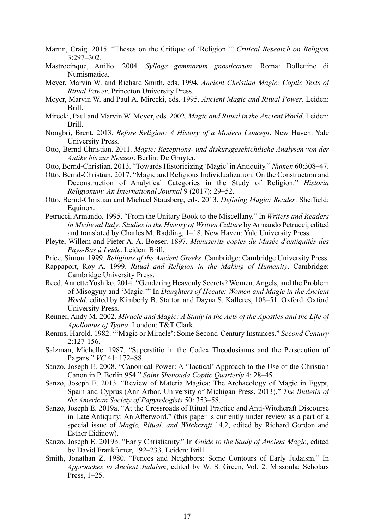- Martin, Craig. 2015. "Theses on the Critique of 'Religion.'" *Critical Research on Religion* 3:297–302.
- Mastrocinque, Attilio. 2004. *Sylloge gemmarum gnosticarum*. Roma: Bollettino di Numismatica.
- Meyer, Marvin W. and Richard Smith, eds. 1994, *Ancient Christian Magic: Coptic Texts of Ritual Power*. Princeton University Press.
- Meyer, Marvin W. and Paul A. Mirecki, eds. 1995. *Ancient Magic and Ritual Power*. Leiden: Brill.
- Mirecki, Paul and Marvin W. Meyer, eds. 2002. *Magic and Ritual in the Ancient World*. Leiden: Brill.
- Nongbri, Brent. 2013. *Before Religion: A History of a Modern Concept*. New Haven: Yale University Press.
- Otto, Bernd-Christian. 2011. *Magie: Rezeptions- und diskursgeschichtliche Analysen von der Antike bis zur Neuzeit*. Berlin: De Gruyter.
- Otto, Bernd-Christian. 2013. "Towards Historicizing 'Magic' in Antiquity." *Numen* 60:308–47.
- Otto, Bernd-Christian. 2017. "Magic and Religious Individualization: On the Construction and Deconstruction of Analytical Categories in the Study of Religion." *Historia Religionum: An International Journal* 9 (2017): 29–52.
- Otto, Bernd-Christian and Michael Stausberg, eds. 2013. *Defining Magic: Reader*. Sheffield: Equinox.
- Petrucci, Armando. 1995. "From the Unitary Book to the Miscellany." In *Writers and Readers in Medieval Italy: Studies in the History of Written Culture* by Armando Petrucci, edited and translated by Charles M. Radding, 1–18. New Haven: Yale University Press.
- Pleyte, Willem and Pieter A. A. Boeser. 1897. *Manuscrits coptes du Musée d'antiquités des Pays-Bas à Leide*. Leiden: Brill.
- Price, Simon. 1999. *Religions of the Ancient Greeks*. Cambridge: Cambridge University Press.
- Rappaport, Roy A. 1999. *Ritual and Religion in the Making of Humanity*. Cambridge: Cambridge University Press.
- Reed, Annette Yoshiko. 2014. "Gendering Heavenly Secrets? Women, Angels, and the Problem of Misogyny and 'Magic.'" In *Daughters of Hecate: Women and Magic in the Ancient World*, edited by Kimberly B. Statton and Dayna S. Kalleres, 108–51. Oxford: Oxford University Press.
- Reimer, Andy M. 2002. *Miracle and Magic: A Study in the Acts of the Apostles and the Life of Apollonius of Tyana*. London: T&T Clark.
- Remus, Harold. 1982. "'Magic or Miracle': Some Second-Century Instances." *Second Century* 2:127-156.
- Salzman, Michelle. 1987. "Superstitio in the Codex Theodosianus and the Persecution of Pagans." *VC* 41: 172–88.
- Sanzo, Joseph E. 2008. "Canonical Power: A 'Tactical' Approach to the Use of the Christian Canon in P. Berlin 954." *Saint Shenouda Coptic Quarterly* 4: 28–45.
- Sanzo, Joseph E. 2013. "Review of Materia Magica: The Archaeology of Magic in Egypt, Spain and Cyprus (Ann Arbor, University of Michigan Press, 2013)." *The Bulletin of the American Society of Papyrologists* 50: 353–58.
- Sanzo, Joseph E. 2019a. "At the Crossroads of Ritual Practice and Anti-Witchcraft Discourse in Late Antiquity: An Afterword." (this paper is currently under review as a part of a special issue of *Magic, Ritual, and Witchcraft* 14.2, edited by Richard Gordon and Esther Eidinow).
- Sanzo, Joseph E. 2019b. "Early Christianity." In *Guide to the Study of Ancient Magic*, edited by David Frankfurter, 192–233. Leiden: Brill.
- Smith, Jonathan Z. 1980. "Fences and Neighbors: Some Contours of Early Judaism." In *Approaches to Ancient Judaism*, edited by W. S. Green, Vol. 2. Missoula: Scholars Press, 1–25.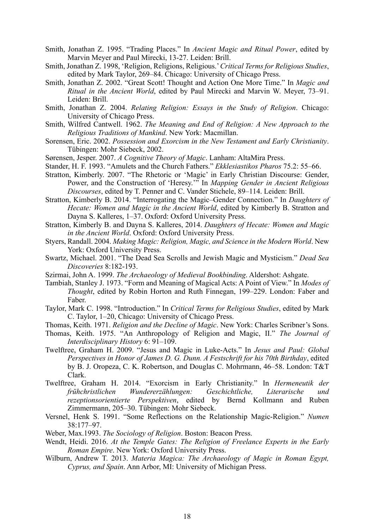- Smith, Jonathan Z. 1995. "Trading Places." In *Ancient Magic and Ritual Power*, edited by Marvin Meyer and Paul Mirecki, 13-27. Leiden: Brill.
- Smith, Jonathan Z. 1998, 'Religion, Religions, Religious.' *Critical Terms for Religious Studies*, edited by Mark Taylor, 269–84. Chicago: University of Chicago Press.
- Smith, Jonathan Z. 2002. "Great Scott! Thought and Action One More Time." In *Magic and Ritual in the Ancient World*, edited by Paul Mirecki and Marvin W. Meyer, 73–91. Leiden: Brill.
- Smith, Jonathan Z. 2004. *Relating Religion: Essays in the Study of Religion*. Chicago: University of Chicago Press.
- Smith, Wilfred Cantwell. 1962. *The Meaning and End of Religion: A New Approach to the Religious Traditions of Mankind*. New York: Macmillan.
- Sorensen, Eric. 2002. *Possession and Exorcism in the New Testament and Early Christianity*. Tübingen: Mohr Siebeck, 2002.
- Sørensen, Jesper. 2007. *A Cognitive Theory of Magic*. Lanham: AltaMira Press.
- Stander, H. F. 1993. "Amulets and the Church Fathers." *Ekklesiastikos Pharos* 75.2: 55–66.
- Stratton, Kimberly. 2007. "The Rhetoric or 'Magic' in Early Christian Discourse: Gender, Power, and the Construction of 'Heresy.'" In *Mapping Gender in Ancient Religious Discourses*, edited by T. Penner and C. Vander Stichele, 89–114. Leiden: Brill.
- Stratton, Kimberly B. 2014. "Interrogating the Magic–Gender Connection." In *Daughters of Hecate: Women and Magic in the Ancient World*, edited by Kimberly B. Stratton and Dayna S. Kalleres, 1–37. Oxford: Oxford University Press.
- Stratton, Kimberly B. and Dayna S. Kalleres, 2014. *Daughters of Hecate: Women and Magic in the Ancient World*. Oxford: Oxford University Press.
- Styers, Randall. 2004. *Making Magic: Religion, Magic, and Science in the Modern World*. New York: Oxford University Press.
- Swartz, Michael. 2001. "The Dead Sea Scrolls and Jewish Magic and Mysticism." *Dead Sea Discoveries* 8:182-193.
- Szirmai, John A. 1999. *The Archaeology of Medieval Bookbinding*. Aldershot: Ashgate.
- Tambiah, Stanley J. 1973. "Form and Meaning of Magical Acts: A Point of View." In *Modes of Thought*, edited by Robin Horton and Ruth Finnegan, 199–229. London: Faber and Faber.
- Taylor, Mark C. 1998. "Introduction." In *Critical Terms for Religious Studies*, edited by Mark C. Taylor, 1–20, Chicago: University of Chicago Press.
- Thomas, Keith. 1971. *Religion and the Decline of Magic*. New York: Charles Scribner's Sons.
- Thomas, Keith. 1975. "An Anthropology of Religion and Magic, II." *The Journal of Interdisciplinary History* 6: 91–109.
- Twelftree, Graham H. 2009. "Jesus and Magic in Luke-Acts." In *Jesus and Paul: Global Perspectives in Honor of James D. G. Dunn. A Festschrift for his 70th Birthday*, edited by B. J. Oropeza, C. K. Robertson, and Douglas C. Mohrmann, 46–58. London: T&T Clark.
- Twelftree, Graham H. 2014. "Exorcism in Early Christianity." In *Hermeneutik der frühchristlichen Wundererzählungen: Geschichtliche, Literarische und rezeptionsorientierte Perspektiven*, edited by Bernd Kollmann and Ruben Zimmermann, 205–30. Tübingen: Mohr Siebeck.
- Versnel, Henk S. 1991. "Some Reflections on the Relationship Magic-Religion." *Numen* 38:177–97.
- Weber, Max.1993. *The Sociology of Religion*. Boston: Beacon Press.
- Wendt, Heidi. 2016. *At the Temple Gates: The Religion of Freelance Experts in the Early Roman Empire*. New York: Oxford University Press.
- Wilburn, Andrew T. 2013. *Materia Magica: The Archaeology of Magic in Roman Egypt, Cyprus, and Spain*. Ann Arbor, MI: University of Michigan Press.